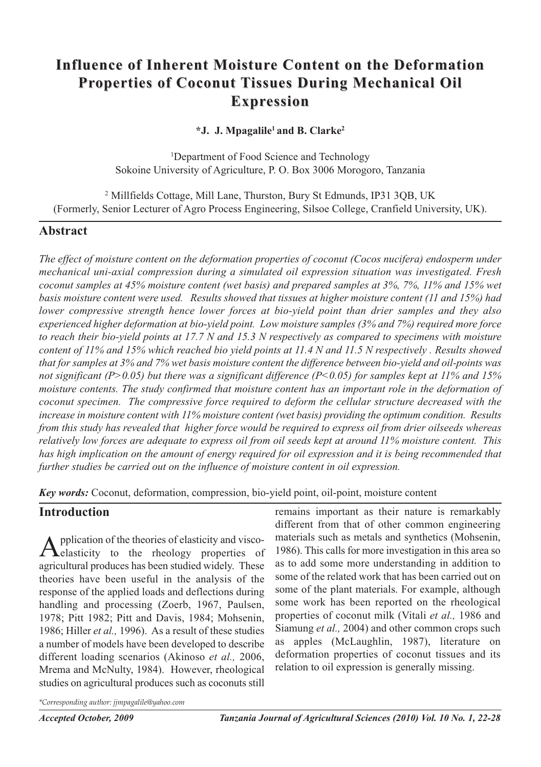# **Influence of Inherent Moisture Content on the Deformation Properties of Coconut Tissues During Mechanical Oil Expression**

## **\*J. J. Mpagalile1 and B. Clarke2**

1 Department of Food Science and Technology Sokoine University of Agriculture, P. O. Box 3006 Morogoro, Tanzania

<sup>2</sup> Millfields Cottage, Mill Lane, Thurston, Bury St Edmunds, IP31 3QB, UK (Formerly, Senior Lecturer of Agro Process Engineering, Silsoe College, Cranfield University, UK).

# **Abstract**

*The effect of moisture content on the deformation properties of coconut (Cocos nucifera) endosperm under mechanical uni-axial compression during a simulated oil expression situation was investigated. Fresh* coconut samples at 45% moisture content (wet basis) and prepared samples at 3%, 7%, 11% and 15% wet *basis moisture content were used. Results showed that tissues at higher moisture content (11 and 15%) had lower compressive strength hence lower forces at bio-yield point than drier samples and they also experienced higher deformation at bio-yield point. Low moisture samples (3% and 7%) required more force* to reach their bio-vield points at 17.7 N and 15.3 N respectively as compared to specimens with moisture content of 11% and 15% which reached bio yield points at 11.4 N and 11.5 N respectively . Results showed that for samples at 3% and 7% wet basis moisture content the difference between bio-vield and oil-points was *not significant (P>0.05) but there was a significant difference (P<0.05) for samples kept at 11% and 15% moisture contents. The study confirmed that moisture content has an important role in the deformation of coconut specimen. The compressive force required to deform the cellular structure decreased with the increase in moisture content with 11% moisture content (wet basis) providing the optimum condition. Results* from this study has revealed that higher force would be required to express oil from drier oilseeds whereas relatively low forces are adequate to express oil from oil seeds kept at around 11% moisture content. This has high implication on the amount of energy required for oil expression and it is being recommended that *further studies be carried out on the influence of moisture content in oil expression.*

*Key words:* Coconut, deformation, compression, bio-yield point, oil-point, moisture content

# **Introduction**

Application of the theories of elasticity and visco-<br>
elasticity to the rheology properties of agricultural produces has been studied widely. These theories have been useful in the analysis of the response of the applied loads and deflections during handling and processing (Zoerb, 1967, Paulsen, 1978; Pitt 1982; Pitt and Davis, 1984; Mohsenin, 1986; Hiller *et al.,* 1996). As a result of these studies a number of models have been developed to describe different loading scenarios (Akinoso *et al.,* 2006, Mrema and McNulty, 1984). However, rheological studies on agricultural produces such as coconuts still

remains important as their nature is remarkably different from that of other common engineering materials such as metals and synthetics (Mohsenin, 1986). This calls for more investigation in this area so as to add some more understanding in addition to some of the related work that has been carried out on some of the plant materials. For example, although some work has been reported on the rheological properties of coconut milk (Vitali *et al.,* 1986 and Siamung *et al.,* 2004) and other common crops such as apples (McLaughlin, 1987), literature on deformation properties of coconut tissues and its relation to oil expression is generally missing.

*\*Corresponding author: jjmpagalile@yahoo.com*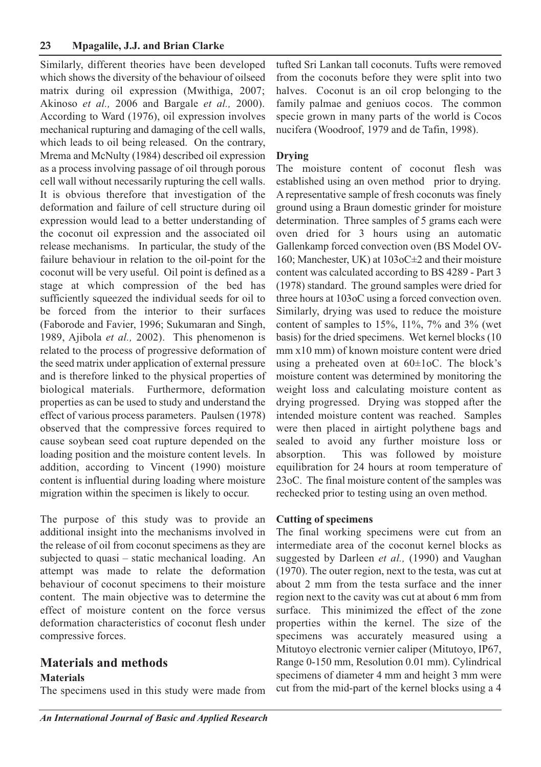Similarly, different theories have been developed which shows the diversity of the behaviour of oilseed matrix during oil expression (Mwithiga, 2007; Akinoso *et al.,* 2006 and Bargale *et al.,* 2000). According to Ward (1976), oil expression involves mechanical rupturing and damaging of the cell walls, which leads to oil being released. On the contrary, Mrema and McNulty (1984) described oil expression as a process involving passage of oil through porous cell wall without necessarily rupturing the cell walls. It is obvious therefore that investigation of the deformation and failure of cell structure during oil expression would lead to a better understanding of the coconut oil expression and the associated oil release mechanisms. In particular, the study of the failure behaviour in relation to the oil-point for the coconut will be very useful. Oil point is defined as a stage at which compression of the bed has sufficiently squeezed the individual seeds for oil to be forced from the interior to their surfaces (Faborode and Favier, 1996; Sukumaran and Singh, 1989, Ajibola *et al.,* 2002). This phenomenon is related to the process of progressive deformation of the seed matrix under application of external pressure and is therefore linked to the physical properties of biological materials. Furthermore, deformation properties as can be used to study and understand the effect of various process parameters. Paulsen (1978) observed that the compressive forces required to cause soybean seed coat rupture depended on the loading position and the moisture content levels. In addition, according to Vincent (1990) moisture content is influential during loading where moisture migration within the specimen is likely to occur.

The purpose of this study was to provide an additional insight into the mechanisms involved in the release of oil from coconut specimens as they are subjected to quasi – static mechanical loading. An attempt was made to relate the deformation behaviour of coconut specimens to their moisture content. The main objective was to determine the effect of moisture content on the force versus deformation characteristics of coconut flesh under compressive forces.

# **Materials and methods**

## **Materials**

The specimens used in this study were made from

tufted Sri Lankan tall coconuts. Tufts were removed from the coconuts before they were split into two halves. Coconut is an oil crop belonging to the family palmae and geniuos cocos. The common specie grown in many parts of the world is Cocos nucifera (Woodroof, 1979 and de Tafin, 1998).

### **Drying**

The moisture content of coconut flesh was established using an oven method prior to drying. A representative sample of fresh coconuts was finely ground using a Braun domestic grinder for moisture determination. Three samples of 5 grams each were oven dried for 3 hours using an automatic Gallenkamp forced convection oven (BS Model OV-160; Manchester, UK) at 103oC±2 and their moisture content was calculated according to BS 4289 - Part 3 (1978) standard. The ground samples were dried for three hours at 103oC using a forced convection oven. Similarly, drying was used to reduce the moisture content of samples to 15%, 11%, 7% and 3% (wet basis) for the dried specimens. Wet kernel blocks (10 mm x10 mm) of known moisture content were dried using a preheated oven at  $60 \pm 1$ oC. The block's moisture content was determined by monitoring the weight loss and calculating moisture content as drying progressed. Drying was stopped after the intended moisture content was reached. Samples were then placed in airtight polythene bags and sealed to avoid any further moisture loss or absorption. This was followed by moisture equilibration for 24 hours at room temperature of 23oC. The final moisture content of the samples was rechecked prior to testing using an oven method.

## **Cutting of specimens**

The final working specimens were cut from an intermediate area of the coconut kernel blocks as suggested by Darleen *et al.,* (1990) and Vaughan (1970). The outer region, next to the testa, was cut at about 2 mm from the testa surface and the inner region next to the cavity was cut at about 6 mm from surface. This minimized the effect of the zone properties within the kernel. The size of the specimens was accurately measured using a Mitutoyo electronic vernier caliper (Mitutoyo, IP67, Range 0-150 mm, Resolution 0.01 mm). Cylindrical specimens of diameter 4 mm and height 3 mm were cut from the mid-part of the kernel blocks using a 4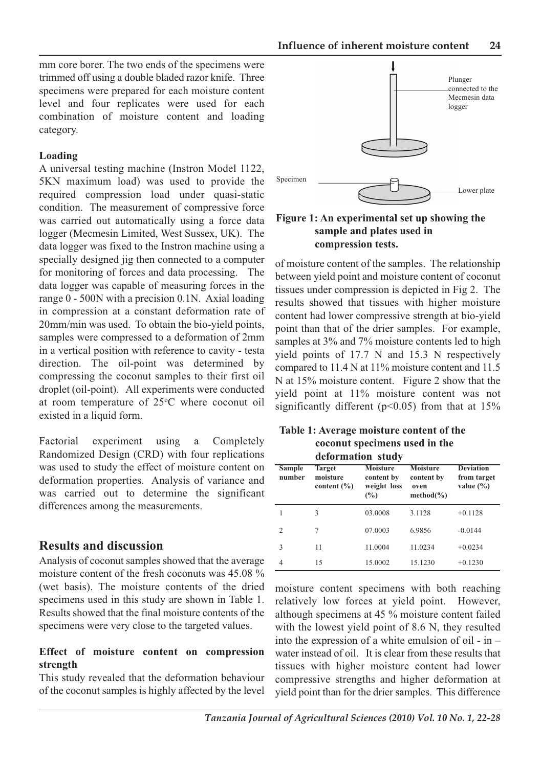mm core borer. The two ends of the specimens were trimmed off using a double bladed razor knife. Three specimens were prepared for each moisture content level and four replicates were used for each combination of moisture content and loading category.

#### **Loading**

A universal testing machine (Instron Model 1122, 5KN maximum load) was used to provide the required compression load under quasi-static condition. The measurement of compressive force was carried out automatically using a force data logger (Mecmesin Limited, West Sussex, UK). The data logger was fixed to the Instron machine using a specially designed jig then connected to a computer for monitoring of forces and data processing. The data logger was capable of measuring forces in the range 0 - 500N with a precision 0.1N. Axial loading in compression at a constant deformation rate of 20mm/min was used. To obtain the bio-yield points, samples were compressed to a deformation of 2mm in a vertical position with reference to cavity - testa direction. The oil-point was determined by compressing the coconut samples to their first oil droplet (oil-point). All experiments were conducted at room temperature of 25°C where coconut oil existed in a liquid form.

Factorial experiment using a Completely Randomized Design (CRD) with four replications was used to study the effect of moisture content on deformation properties. Analysis of variance and was carried out to determine the significant differences among the measurements.

#### **Results and discussion**

Analysis of coconut samples showed that the average moisture content of the fresh coconuts was 45.08 % (wet basis). The moisture contents of the dried specimens used in this study are shown in Table 1. Results showed that the final moisture contents of the specimens were very close to the targeted values.

#### **Effect of moisture content on compression strength**

This study revealed that the deformation behaviour of the coconut samples is highly affected by the level



**Figure 1: An experimental set up showing the sample and plates used in compression tests.**

of moisture content of the samples. The relationship between yield point and moisture content of coconut tissues under compression is depicted in Fig 2. The results showed that tissues with higher moisture content had lower compressive strength at bio-yield point than that of the drier samples. For example, samples at 3% and 7% moisture contents led to high yield points of 17.7 N and 15.3 N respectively compared to 11.4 N at 11% moisture content and 11.5 N at 15% moisture content. Figure 2 show that the yield point at 11% moisture content was not significantly different ( $p$ <0.05) from that at 15%

| Table 1: Average moisture content of the |  |
|------------------------------------------|--|
| coconut specimens used in the            |  |
| deformation study                        |  |

| <b>Sample</b><br>number | Target<br>moisture<br>content $(\% )$ | <b>Moisture</b><br>content by<br>weight loss<br>(%) | <b>Moisture</b><br>content by<br>oven<br>$method(\% )$ | <b>Deviation</b><br>from target<br>value $(\% )$ |
|-------------------------|---------------------------------------|-----------------------------------------------------|--------------------------------------------------------|--------------------------------------------------|
|                         | 3                                     | 03.0008                                             | 3.1128                                                 | $+0.1128$                                        |
| $\overline{c}$          | 7                                     | 07.0003                                             | 6.9856                                                 | $-0.0144$                                        |
| 3                       | 11                                    | 11.0004                                             | 11.0234                                                | $+0.0234$                                        |
| 4                       | 15                                    | 15.0002                                             | 15.1230                                                | $+0.1230$                                        |

moisture content specimens with both reaching relatively low forces at yield point. However, although specimens at 45 % moisture content failed with the lowest yield point of 8.6 N, they resulted into the expression of a white emulsion of oil - in – water instead of oil. It is clear from these results that tissues with higher moisture content had lower compressive strengths and higher deformation at yield point than for the drier samples. This difference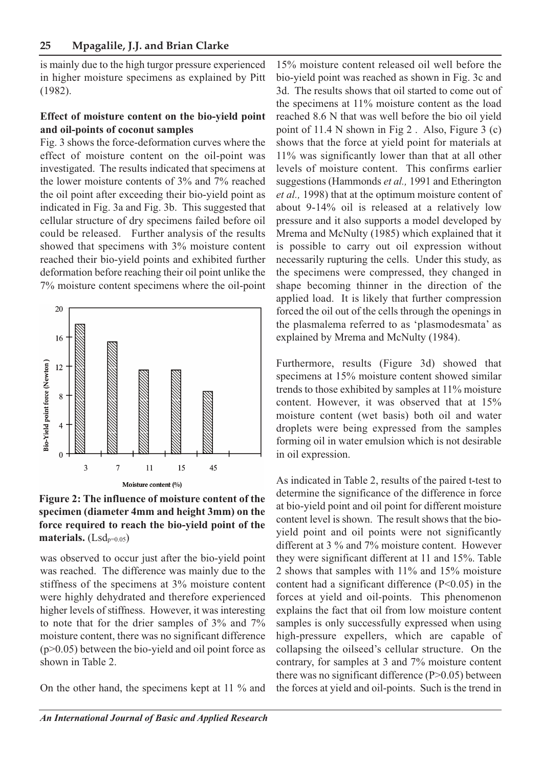is mainly due to the high turgor pressure experienced in higher moisture specimens as explained by Pitt (1982).

#### **Effect of moisture content on the bio-yield point and oil-points of coconut samples**

Fig. 3 shows the force-deformation curves where the effect of moisture content on the oil-point was investigated. The results indicated that specimens at the lower moisture contents of 3% and 7% reached the oil point after exceeding their bio-yield point as indicated in Fig. 3a and Fig. 3b. This suggested that cellular structure of dry specimens failed before oil could be released. Further analysis of the results showed that specimens with 3% moisture content reached their bio-yield points and exhibited further deformation before reaching their oil point unlike the 7% moisture content specimens where the oil-point



**Figure 2: The influence of moisture content of the specimen (diameter 4mm and height 3mm) on the force required to reach the bio-yield point of the materials.** (Lsdp=0.05)

was observed to occur just after the bio-yield point was reached. The difference was mainly due to the stiffness of the specimens at 3% moisture content were highly dehydrated and therefore experienced higher levels of stiffness. However, it was interesting to note that for the drier samples of 3% and 7% moisture content, there was no significant difference (p>0.05) between the bio-yield and oil point force as shown in Table 2.

On the other hand, the specimens kept at 11 % and

15% moisture content released oil well before the bio-yield point was reached as shown in Fig. 3c and 3d. The results shows that oil started to come out of the specimens at 11% moisture content as the load reached 8.6 N that was well before the bio oil yield point of 11.4 N shown in Fig 2 . Also, Figure 3 (c) shows that the force at yield point for materials at 11% was significantly lower than that at all other levels of moisture content. This confirms earlier suggestions (Hammonds *et al.,* 1991 and Etherington *et al.,* 1998) that at the optimum moisture content of about 9-14% oil is released at a relatively low pressure and it also supports a model developed by Mrema and McNulty (1985) which explained that it is possible to carry out oil expression without necessarily rupturing the cells. Under this study, as the specimens were compressed, they changed in shape becoming thinner in the direction of the applied load. It is likely that further compression forced the oil out of the cells through the openings in the plasmalema referred to as 'plasmodesmata' as explained by Mrema and McNulty (1984).

Furthermore, results (Figure 3d) showed that specimens at 15% moisture content showed similar trends to those exhibited by samples at 11% moisture content. However, it was observed that at 15% moisture content (wet basis) both oil and water droplets were being expressed from the samples forming oil in water emulsion which is not desirable in oil expression.

As indicated in Table 2, results of the paired t-test to determine the significance of the difference in force at bio-yield point and oil point for different moisture content level is shown. The result shows that the bioyield point and oil points were not significantly different at 3 % and 7% moisture content. However they were significant different at 11 and 15%. Table 2 shows that samples with 11% and 15% moisture content had a significant difference (P<0.05) in the forces at yield and oil-points. This phenomenon explains the fact that oil from low moisture content samples is only successfully expressed when using high-pressure expellers, which are capable of collapsing the oilseed's cellular structure. On the contrary, for samples at 3 and 7% moisture content there was no significant difference (P>0.05) between the forces at yield and oil-points. Such is the trend in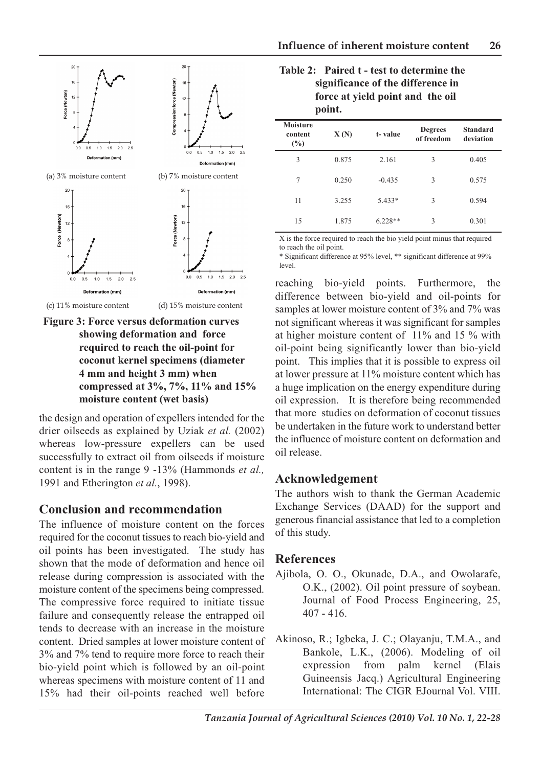

**Figure 3: Force versus deformation curves showing deformation and force required to reach the oil-point for coconut kernel specimens (diameter 4 mm and height 3 mm) when compressed at 3%, 7%, 11% and 15% moisture content (wet basis)**

the design and operation of expellers intended for the drier oilseeds as explained by Uziak *et al.* (2002) whereas low-pressure expellers can be used successfully to extract oil from oilseeds if moisture content is in the range 9 -13% (Hammonds *et al.,* 1991 and Etherington *et al.*, 1998).

# **Conclusion and recommendation**

The influence of moisture content on the forces required for the coconut tissues to reach bio-yield and oil points has been investigated. The study has shown that the mode of deformation and hence oil release during compression is associated with the moisture content of the specimens being compressed. The compressive force required to initiate tissue failure and consequently release the entrapped oil tends to decrease with an increase in the moisture content. Dried samples at lower moisture content of 3% and 7% tend to require more force to reach their bio-yield point which is followed by an oil-point whereas specimens with moisture content of 11 and 15% had their oil-points reached well before

### **Table 2: Paired t - test to determine the significance of the difference in force at yield point and the oil point.**

| <b>Moisture</b><br>content<br>$(\%)$ | X(N)  | t-value   | <b>Degrees</b><br>of freedom | <b>Standard</b><br>deviation |
|--------------------------------------|-------|-----------|------------------------------|------------------------------|
| 3                                    | 0.875 | 2.161     | 3                            | 0.405                        |
| 7                                    | 0.250 | $-0.435$  | 3                            | 0.575                        |
| 11                                   | 3.255 | $5.433*$  | 3                            | 0.594                        |
| 15                                   | 1.875 | $6.228**$ | 3                            | 0.301                        |

X is the force required to reach the bio yield point minus that required to reach the oil point.

\* Significant difference at 95% level, \*\* significant difference at 99% level.

reaching bio-yield points. Furthermore, the difference between bio-yield and oil-points for samples at lower moisture content of 3% and 7% was not significant whereas it was significant for samples at higher moisture content of 11% and 15 % with oil-point being significantly lower than bio-yield point. This implies that it is possible to express oil at lower pressure at 11% moisture content which has a huge implication on the energy expenditure during oil expression. It is therefore being recommended that more studies on deformation of coconut tissues be undertaken in the future work to understand better the influence of moisture content on deformation and oil release.

# **Acknowledgement**

The authors wish to thank the German Academic Exchange Services (DAAD) for the support and generous financial assistance that led to a completion of this study.

# **References**

- Ajibola, O. O., Okunade, D.A., and Owolarafe, O.K., (2002). Oil point pressure of soybean. Journal of Food Process Engineering, 25, 407 - 416.
- Akinoso, R.; Igbeka, J. C.; Olayanju, T.M.A., and Bankole, L.K., (2006). Modeling of oil expression from palm kernel (Elais Guineensis Jacq.) Agricultural Engineering International: The CIGR EJournal Vol. VIII.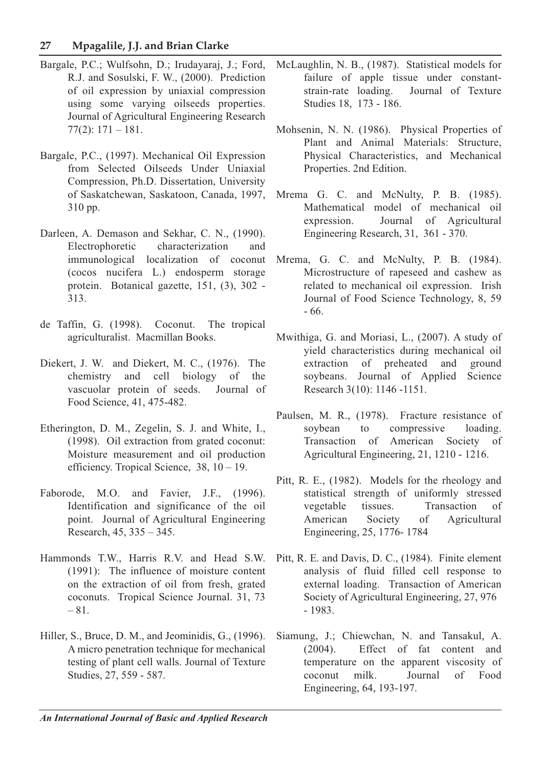## **27 Mpagalile, J.J. and Brian Clarke**

- Bargale, P.C.; Wulfsohn, D.; Irudayaraj, J.; Ford, R.J. and Sosulski, F. W., (2000). Prediction of oil expression by uniaxial compression using some varying oilseeds properties. Journal of Agricultural Engineering Research 77(2): 171 – 181.
- Bargale, P.C., (1997). Mechanical Oil Expression from Selected Oilseeds Under Uniaxial Compression, Ph.D. Dissertation, University of Saskatchewan, Saskatoon, Canada, 1997, 310 pp.
- Darleen, A. Demason and Sekhar, C. N., (1990). Electrophoretic characterization and immunological localization of coconut (cocos nucifera L.) endosperm storage protein. Botanical gazette, 151, (3), 302 - 313.
- de Taffin, G. (1998). Coconut. The tropical agriculturalist. Macmillan Books.
- Diekert, J. W. and Diekert, M. C., (1976). The chemistry and cell biology of the vascuolar protein of seeds. Journal of Food Science, 41, 475-482.
- Etherington, D. M., Zegelin, S. J. and White, I., (1998). Oil extraction from grated coconut: Moisture measurement and oil production efficiency. Tropical Science, 38, 10 – 19.
- Faborode, M.O. and Favier, J.F., (1996). Identification and significance of the oil point. Journal of Agricultural Engineering Research, 45, 335 – 345.
- Hammonds T.W., Harris R.V. and Head S.W. (1991): The influence of moisture content on the extraction of oil from fresh, grated coconuts. Tropical Science Journal. 31, 73 – 81.
- Hiller, S., Bruce, D. M., and Jeominidis, G., (1996). A micro penetration technique for mechanical testing of plant cell walls. Journal of Texture Studies, 27, 559 - 587.
- McLaughlin, N. B., (1987). Statistical models for failure of apple tissue under constantstrain-rate loading. Journal of Texture Studies 18, 173 - 186.
- Mohsenin, N. N. (1986). Physical Properties of Plant and Animal Materials: Structure, Physical Characteristics, and Mechanical Properties. 2nd Edition.
- Mrema G. C. and McNulty, P. B. (1985). Mathematical model of mechanical oil expression. Journal of Agricultural Engineering Research, 31, 361 - 370.
- Mrema, G. C. and McNulty, P. B. (1984). Microstructure of rapeseed and cashew as related to mechanical oil expression. Irish Journal of Food Science Technology, 8, 59 - 66.
- Mwithiga, G. and Moriasi, L., (2007). A study of yield characteristics during mechanical oil extraction of preheated and ground soybeans. Journal of Applied Science Research 3(10): 1146 -1151.
- Paulsen, M. R., (1978). Fracture resistance of soybean to compressive loading. Transaction of American Society of Agricultural Engineering, 21, 1210 - 1216.
- Pitt, R. E., (1982). Models for the rheology and statistical strength of uniformly stressed vegetable tissues. Transaction of American Society of Agricultural Engineering, 25, 1776- 1784
- Pitt, R. E. and Davis, D. C., (1984). Finite element analysis of fluid filled cell response to external loading. Transaction of American Society of Agricultural Engineering, 27, 976 - 1983.
- Siamung, J.; Chiewchan, N. and Tansakul, A. (2004). Effect of fat content and temperature on the apparent viscosity of coconut milk. Journal of Food Engineering, 64, 193-197.